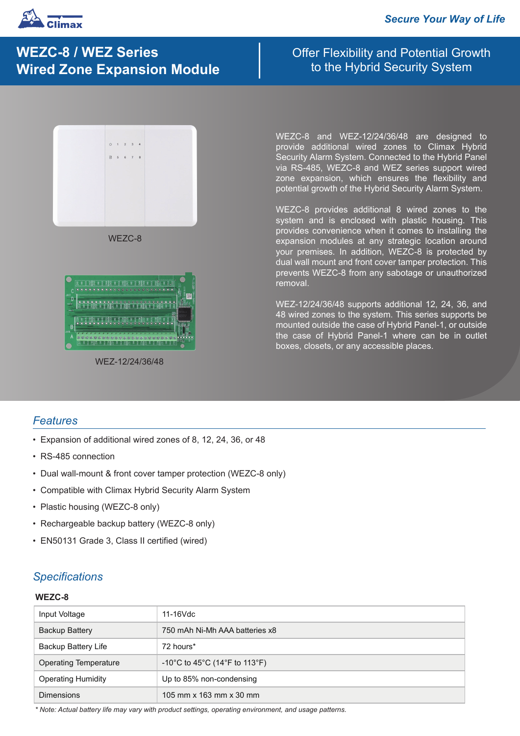

# **WEZC-8 / WEZ Series Wired Zone Expansion Module**

## Offer Flexibility and Potential Growth to the Hybrid Security System



WEZC-8



WEZ-12/24/36/48

WEZC-8 and WEZ-12/24/36/48 are designed to provide additional wired zones to Climax Hybrid Security Alarm System. Connected to the Hybrid Panel via RS-485, WEZC-8 and WEZ series support wired zone expansion, which ensures the flexibility and potential growth of the Hybrid Security Alarm System.

WEZC-8 provides additional 8 wired zones to the system and is enclosed with plastic housing. This provides convenience when it comes to installing the expansion modules at any strategic location around your premises. In addition, WEZC-8 is protected by dual wall mount and front cover tamper protection. This prevents WEZC-8 from any sabotage or unauthorized removal.

WEZ-12/24/36/48 supports additional 12, 24, 36, and 48 wired zones to the system. This series supports be mounted outside the case of Hybrid Panel-1, or outside the case of Hybrid Panel-1 where can be in outlet boxes, closets, or any accessible places.

### *Features*

- Expansion of additional wired zones of 8, 12, 24, 36, or 48
- RS-485 connection
- Dual wall-mount & front cover tamper protection (WEZC-8 only)
- Compatible with Climax Hybrid Security Alarm System
- Plastic housing (WEZC-8 only)
- Rechargeable backup battery (WEZC-8 only)
- EN50131 Grade 3, Class II certified (wired)

## *Specifications*

#### **WEZC-8**

| Input Voltage                | 11-16Vdc                       |
|------------------------------|--------------------------------|
| <b>Backup Battery</b>        | 750 mAh Ni-Mh AAA batteries x8 |
| <b>Backup Battery Life</b>   | 72 hours*                      |
| <b>Operating Temperature</b> | -10°C to 45°C (14°F to 113°F)  |
| <b>Operating Humidity</b>    | Up to 85% non-condensing       |
| <b>Dimensions</b>            | 105 mm x 163 mm x 30 mm        |

*\* Note: Actual battery life may vary with product settings, operating environment, and usage patterns.*